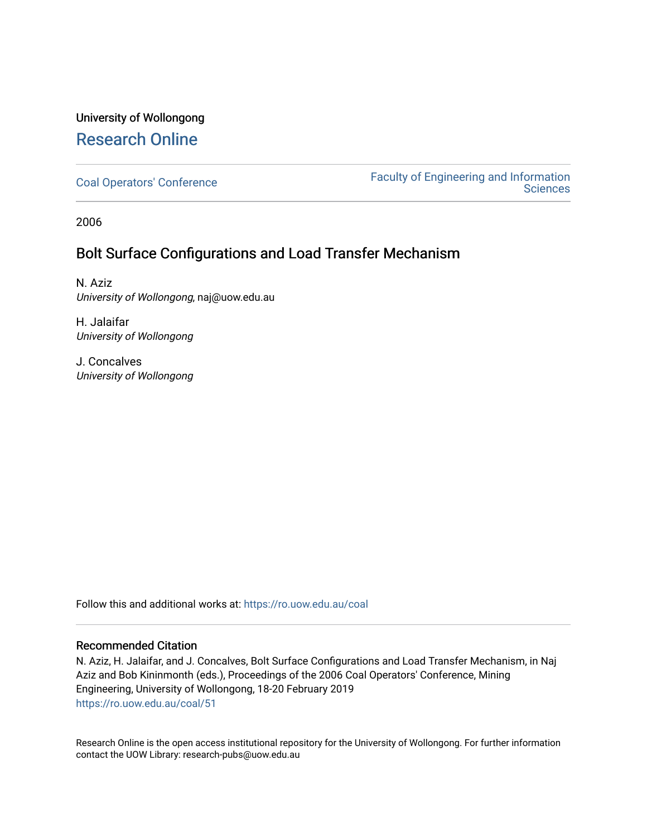## University of Wollongong [Research Online](https://ro.uow.edu.au/)

[Coal Operators' Conference](https://ro.uow.edu.au/coal) [Faculty of Engineering and Information](https://ro.uow.edu.au/eis)  **Sciences** 

2006

### Bolt Surface Configurations and Load Transfer Mechanism

N. Aziz University of Wollongong, naj@uow.edu.au

H. Jalaifar University of Wollongong

J. Concalves University of Wollongong

Follow this and additional works at: [https://ro.uow.edu.au/coal](https://ro.uow.edu.au/coal?utm_source=ro.uow.edu.au%2Fcoal%2F51&utm_medium=PDF&utm_campaign=PDFCoverPages) 

### Recommended Citation

N. Aziz, H. Jalaifar, and J. Concalves, Bolt Surface Configurations and Load Transfer Mechanism, in Naj Aziz and Bob Kininmonth (eds.), Proceedings of the 2006 Coal Operators' Conference, Mining Engineering, University of Wollongong, 18-20 February 2019 [https://ro.uow.edu.au/coal/51](https://ro.uow.edu.au/coal/51?utm_source=ro.uow.edu.au%2Fcoal%2F51&utm_medium=PDF&utm_campaign=PDFCoverPages) 

Research Online is the open access institutional repository for the University of Wollongong. For further information contact the UOW Library: research-pubs@uow.edu.au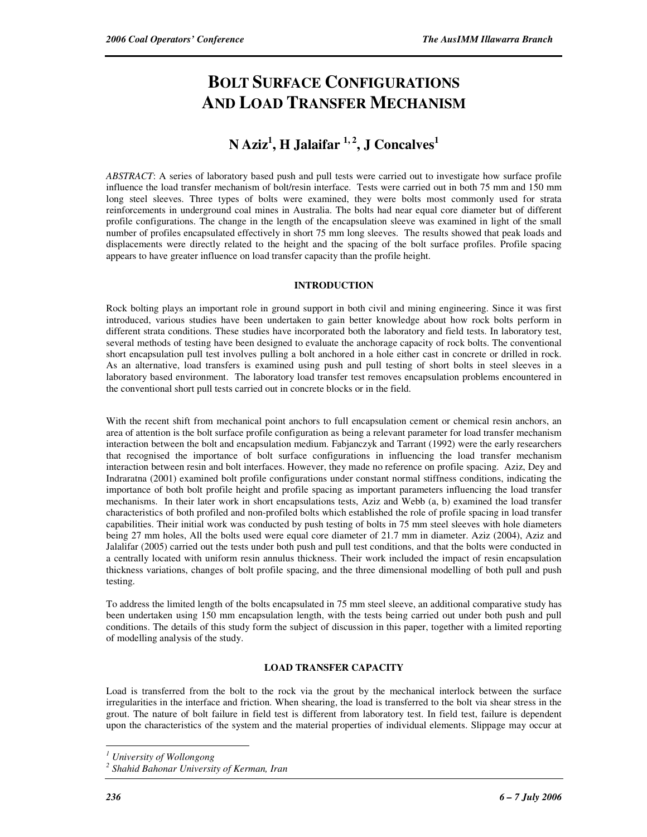# **BOLT SURFACE CONFIGURATIONS AND LOAD TRANSFER MECHANISM**

## **N Aziz<sup>1</sup> , H Jalaifar 1, 2, J Concalves<sup>1</sup>**

*ABSTRACT*: A series of laboratory based push and pull tests were carried out to investigate how surface profile influence the load transfer mechanism of bolt/resin interface. Tests were carried out in both 75 mm and 150 mm long steel sleeves. Three types of bolts were examined, they were bolts most commonly used for strata reinforcements in underground coal mines in Australia. The bolts had near equal core diameter but of different profile configurations. The change in the length of the encapsulation sleeve was examined in light of the small number of profiles encapsulated effectively in short 75 mm long sleeves. The results showed that peak loads and displacements were directly related to the height and the spacing of the bolt surface profiles. Profile spacing appears to have greater influence on load transfer capacity than the profile height.

#### **INTRODUCTION**

Rock bolting plays an important role in ground support in both civil and mining engineering. Since it was first introduced, various studies have been undertaken to gain better knowledge about how rock bolts perform in different strata conditions. These studies have incorporated both the laboratory and field tests. In laboratory test, several methods of testing have been designed to evaluate the anchorage capacity of rock bolts. The conventional short encapsulation pull test involves pulling a bolt anchored in a hole either cast in concrete or drilled in rock. As an alternative, load transfers is examined using push and pull testing of short bolts in steel sleeves in a laboratory based environment. The laboratory load transfer test removes encapsulation problems encountered in the conventional short pull tests carried out in concrete blocks or in the field.

With the recent shift from mechanical point anchors to full encapsulation cement or chemical resin anchors, an area of attention is the bolt surface profile configuration as being a relevant parameter for load transfer mechanism interaction between the bolt and encapsulation medium. Fabjanczyk and Tarrant (1992) were the early researchers that recognised the importance of bolt surface configurations in influencing the load transfer mechanism interaction between resin and bolt interfaces. However, they made no reference on profile spacing. Aziz, Dey and Indraratna (2001) examined bolt profile configurations under constant normal stiffness conditions, indicating the importance of both bolt profile height and profile spacing as important parameters influencing the load transfer mechanisms. In their later work in short encapsulations tests, Aziz and Webb (a, b) examined the load transfer characteristics of both profiled and non-profiled bolts which established the role of profile spacing in load transfer capabilities. Their initial work was conducted by push testing of bolts in 75 mm steel sleeves with hole diameters being 27 mm holes, All the bolts used were equal core diameter of 21.7 mm in diameter. Aziz (2004), Aziz and Jalalifar (2005) carried out the tests under both push and pull test conditions, and that the bolts were conducted in a centrally located with uniform resin annulus thickness. Their work included the impact of resin encapsulation thickness variations, changes of bolt profile spacing, and the three dimensional modelling of both pull and push testing.

To address the limited length of the bolts encapsulated in 75 mm steel sleeve, an additional comparative study has been undertaken using 150 mm encapsulation length, with the tests being carried out under both push and pull conditions. The details of this study form the subject of discussion in this paper, together with a limited reporting of modelling analysis of the study.

#### **LOAD TRANSFER CAPACITY**

Load is transferred from the bolt to the rock via the grout by the mechanical interlock between the surface irregularities in the interface and friction. When shearing, the load is transferred to the bolt via shear stress in the grout. The nature of bolt failure in field test is different from laboratory test. In field test, failure is dependent upon the characteristics of the system and the material properties of individual elements. Slippage may occur at

 $\overline{a}$ 

*<sup>1</sup> University of Wollongong* 

*<sup>2</sup> Shahid Bahonar University of Kerman, Iran*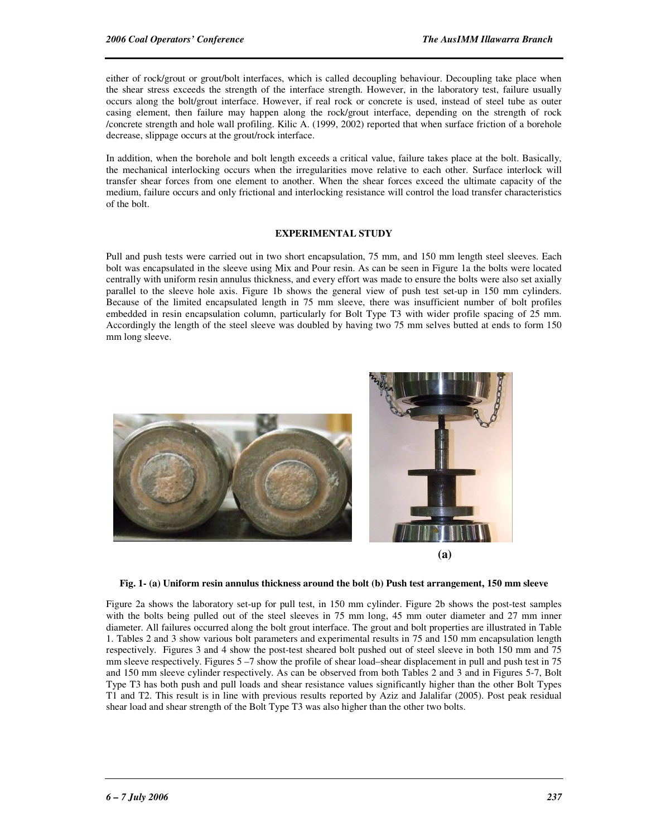either of rock/grout or grout/bolt interfaces, which is called decoupling behaviour. Decoupling take place when the shear stress exceeds the strength of the interface strength. However, in the laboratory test, failure usually occurs along the bolt/grout interface. However, if real rock or concrete is used, instead of steel tube as outer casing element, then failure may happen along the rock/grout interface, depending on the strength of rock /concrete strength and hole wall profiling. Kilic A. (1999, 2002) reported that when surface friction of a borehole decrease, slippage occurs at the grout/rock interface.

In addition, when the borehole and bolt length exceeds a critical value, failure takes place at the bolt. Basically, the mechanical interlocking occurs when the irregularities move relative to each other. Surface interlock will transfer shear forces from one element to another. When the shear forces exceed the ultimate capacity of the medium, failure occurs and only frictional and interlocking resistance will control the load transfer characteristics of the bolt.

#### **EXPERIMENTAL STUDY**

Pull and push tests were carried out in two short encapsulation, 75 mm, and 150 mm length steel sleeves. Each bolt was encapsulated in the sleeve using Mix and Pour resin. As can be seen in Figure 1a the bolts were located centrally with uniform resin annulus thickness, and every effort was made to ensure the bolts were also set axially parallel to the sleeve hole axis. Figure 1b shows the general view of push test set-up in 150 mm cylinders. Because of the limited encapsulated length in 75 mm sleeve, there was insufficient number of bolt profiles embedded in resin encapsulation column, particularly for Bolt Type T3 with wider profile spacing of 25 mm. Accordingly the length of the steel sleeve was doubled by having two 75 mm selves butted at ends to form 150 mm long sleeve.



**Fig. 1- (a) Uniform resin annulus thickness around the bolt (b) Push test arrangement, 150 mm sleeve** 

Figure 2a shows the laboratory set-up for pull test, in 150 mm cylinder. Figure 2b shows the post-test samples with the bolts being pulled out of the steel sleeves in 75 mm long, 45 mm outer diameter and 27 mm inner diameter. All failures occurred along the bolt grout interface. The grout and bolt properties are illustrated in Table 1. Tables 2 and 3 show various bolt parameters and experimental results in 75 and 150 mm encapsulation length respectively. Figures 3 and 4 show the post-test sheared bolt pushed out of steel sleeve in both 150 mm and 75 mm sleeve respectively. Figures 5 –7 show the profile of shear load–shear displacement in pull and push test in 75 and 150 mm sleeve cylinder respectively. As can be observed from both Tables 2 and 3 and in Figures 5-7, Bolt Type T3 has both push and pull loads and shear resistance values significantly higher than the other Bolt Types T1 and T2. This result is in line with previous results reported by Aziz and Jalalifar (2005). Post peak residual shear load and shear strength of the Bolt Type T3 was also higher than the other two bolts.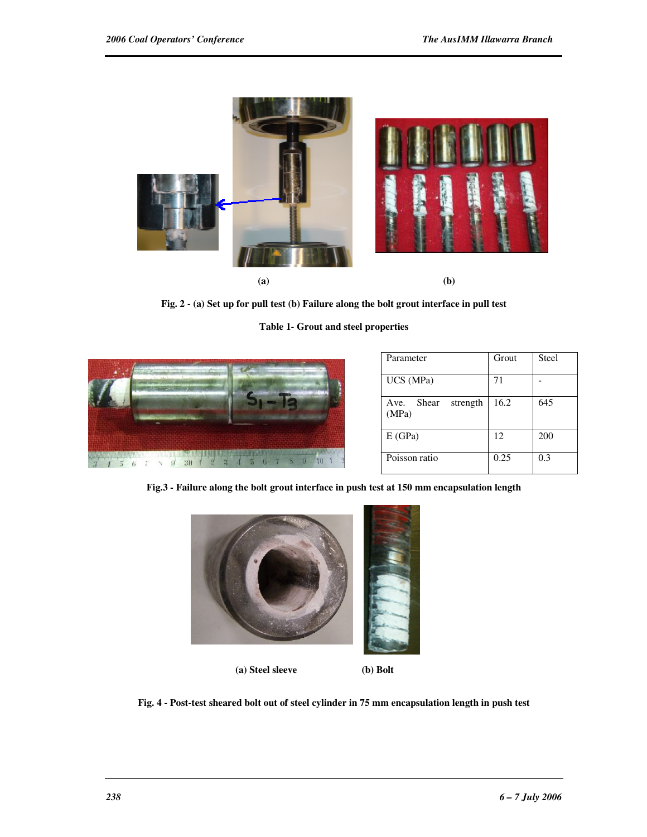

**Fig. 2 - (a) Set up for pull test (b) Failure along the bolt grout interface in pull test** 

**Table 1- Grout and steel properties** 



| Parameter                          | Grout | <b>Steel</b> |
|------------------------------------|-------|--------------|
| UCS (MPa)                          | 71    |              |
| Shear<br>Ave.<br>strength<br>(MPa) | 16.2  | 645          |
| E(GPa)                             | 12    | 200          |
| Poisson ratio                      | 0.25  | 0.3          |

**Fig.3 - Failure along the bolt grout interface in push test at 150 mm encapsulation length** 



 **(a) Steel sleeve (b) Bolt**

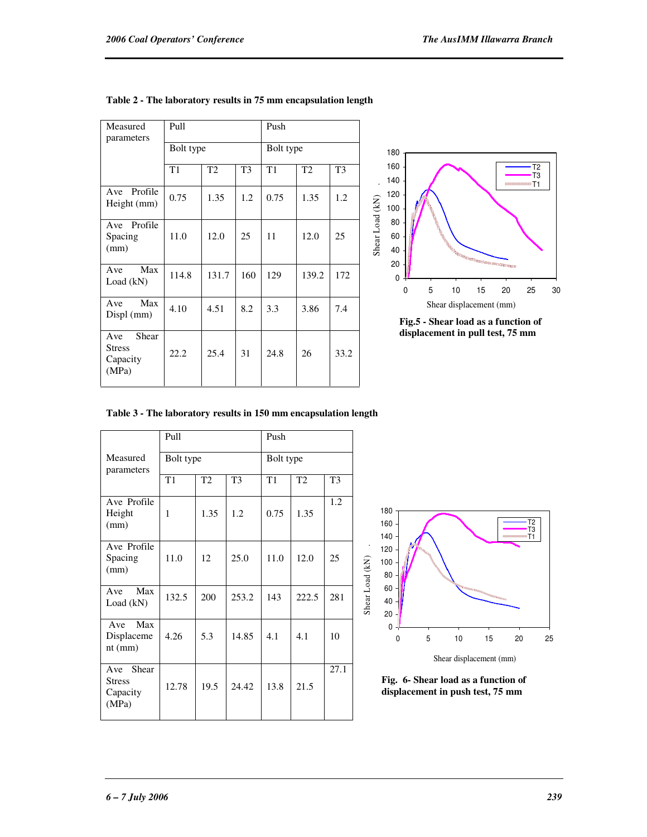| Measured<br>parameters                             | Pull  |           |                | Push |           |                |  |
|----------------------------------------------------|-------|-----------|----------------|------|-----------|----------------|--|
|                                                    |       | Bolt type |                |      | Bolt type |                |  |
|                                                    | T1    | T2        | T <sub>3</sub> | T1   | T2        | T <sub>3</sub> |  |
| Profile<br>Ave<br>Height (mm)                      | 0.75  | 1.35      | 1.2            | 0.75 | 1.35      | 1.2            |  |
| Ave Profile<br>Spacing<br>(mm)                     | 11.0  | 12.0      | 25             | 11   | 12.0      | 25             |  |
| Max<br>A ve<br>Load (kN)                           | 114.8 | 131.7     | 160            | 129  | 139.2     | 172            |  |
| Max<br>Ave<br>$Displ$ (mm)                         | 4.10  | 4.51      | 8.2            | 3.3  | 3.86      | 7.4            |  |
| Shear<br>Ave<br><b>Stress</b><br>Capacity<br>(MPa) | 22.2  | 25.4      | 31             | 24.8 | 26        | 33.2           |  |

#### **Table 2 - The laboratory results in 75 mm encapsulation length**



**Fig.5 - Shear load as a function of displacement in pull test, 75 mm**

|  |  | Table 3 - The laboratory results in 150 mm encapsulation length |  |
|--|--|-----------------------------------------------------------------|--|
|  |  |                                                                 |  |

|                                                    | P <sub>u</sub> 11 |      |                | Push      |       |                |
|----------------------------------------------------|-------------------|------|----------------|-----------|-------|----------------|
| Measured<br>parameters                             | Bolt type         |      |                | Bolt type |       |                |
|                                                    | T1                | T2   | T <sub>3</sub> | T1        | T2    | T <sub>3</sub> |
| Ave Profile<br>Height<br>(mm)                      | 1                 | 1.35 | 1.2            | 0.75      | 1.35  | 1.2            |
| Ave Profile<br>Spacing<br>(mm)                     | 11.0              | 12   | 25.0           | 11.0      | 12.0  | 25             |
| Max<br>A ve<br>Load $(kN)$                         | 132.5             | 200  | 253.2          | 143       | 222.5 | 281            |
| Ave Max<br>Displaceme<br>$nt$ ( $mm$ )             | 4.26              | 5.3  | 14.85          | 4.1       | 4.1   | 10             |
| Shear<br>Ave<br><b>Stress</b><br>Capacity<br>(MPa) | 12.78             | 19.5 | 24.42          | 13.8      | 21.5  | 27.1           |



**Fig. 6- Shear load as a function of displacement in push test, 75 mm**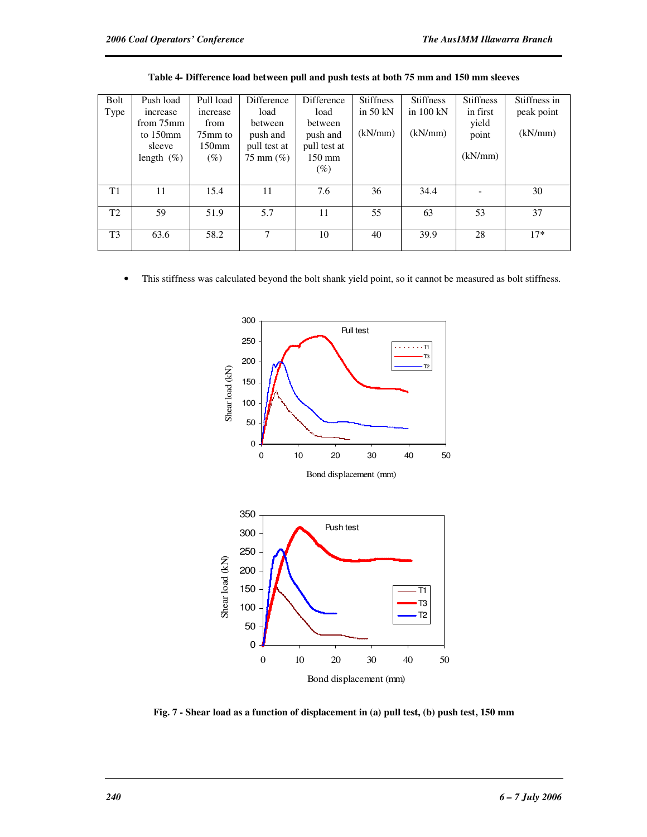| Bolt           | Push load     | Pull load         | Difference           | <b>Difference</b> | <b>Stiffness</b> | <b>Stiffness</b>    | <b>Stiffness</b>         | Stiffness in |
|----------------|---------------|-------------------|----------------------|-------------------|------------------|---------------------|--------------------------|--------------|
| Type           | increase      | increase          | load                 | load              | in $50$ kN       | in $100 \text{ kN}$ | in first                 | peak point   |
|                | from 75mm     | from              | between              | between           |                  |                     | yield                    |              |
|                | to $150$ mm   | 75mm to           | push and             | push and          | (kN/mm)          | (kN/mm)             | point                    | (kN/mm)      |
|                | sleeve        | 150 <sub>mm</sub> | pull test at         | pull test at      |                  |                     |                          |              |
|                | length $(\%)$ | $(\%)$            | $75 \text{ mm} (\%)$ | 150 mm            |                  |                     | (kN/mm)                  |              |
|                |               |                   |                      | $(\%)$            |                  |                     |                          |              |
|                |               |                   |                      |                   |                  |                     |                          |              |
| T1             | 11            | 15.4              | 11                   | 7.6               | 36               | 34.4                | $\overline{\phantom{a}}$ | 30           |
|                |               |                   |                      |                   |                  |                     |                          |              |
| T <sub>2</sub> | 59            | 51.9              | 5.7                  | 11                | 55               | 63                  | 53                       | 37           |
|                |               |                   |                      |                   |                  |                     |                          |              |
| T <sub>3</sub> | 63.6          | 58.2              | 7                    | 10                | 40               | 39.9                | 28                       | $17*$        |
|                |               |                   |                      |                   |                  |                     |                          |              |

| Table 4- Difference load between pull and push tests at both 75 mm and 150 mm sleeves |  |  |  |
|---------------------------------------------------------------------------------------|--|--|--|
|---------------------------------------------------------------------------------------|--|--|--|

• This stiffness was calculated beyond the bolt shank yield point, so it cannot be measured as bolt stiffness.



**Fig. 7 - Shear load as a function of displacement in (a) pull test, (b) push test, 150 mm**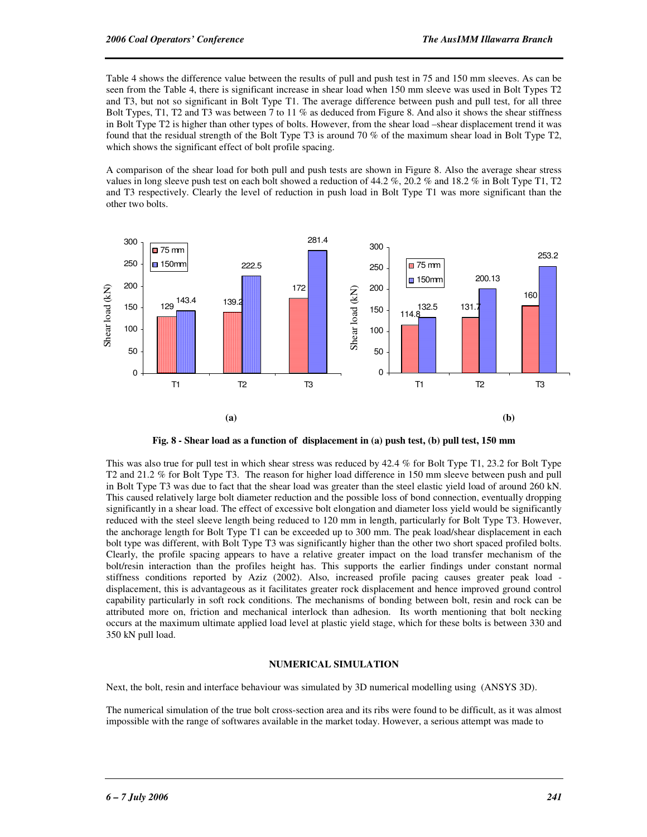Table 4 shows the difference value between the results of pull and push test in 75 and 150 mm sleeves. As can be seen from the Table 4, there is significant increase in shear load when 150 mm sleeve was used in Bolt Types T2 and T3, but not so significant in Bolt Type T1. The average difference between push and pull test, for all three Bolt Types, T1, T2 and T3 was between 7 to 11 % as deduced from Figure 8. And also it shows the shear stiffness in Bolt Type T2 is higher than other types of bolts. However, from the shear load –shear displacement trend it was found that the residual strength of the Bolt Type T3 is around 70 % of the maximum shear load in Bolt Type T2, which shows the significant effect of bolt profile spacing.

A comparison of the shear load for both pull and push tests are shown in Figure 8. Also the average shear stress values in long sleeve push test on each bolt showed a reduction of 44.2 %, 20.2 % and 18.2 % in Bolt Type T1, T2 and T3 respectively. Clearly the level of reduction in push load in Bolt Type T1 was more significant than the other two bolts.



**Fig. 8 - Shear load as a function of displacement in (a) push test, (b) pull test, 150 mm** 

This was also true for pull test in which shear stress was reduced by 42.4 % for Bolt Type T1, 23.2 for Bolt Type T2 and 21.2 % for Bolt Type T3. The reason for higher load difference in 150 mm sleeve between push and pull in Bolt Type T3 was due to fact that the shear load was greater than the steel elastic yield load of around 260 kN. This caused relatively large bolt diameter reduction and the possible loss of bond connection, eventually dropping significantly in a shear load. The effect of excessive bolt elongation and diameter loss yield would be significantly reduced with the steel sleeve length being reduced to 120 mm in length, particularly for Bolt Type T3. However, the anchorage length for Bolt Type T1 can be exceeded up to 300 mm. The peak load/shear displacement in each bolt type was different, with Bolt Type T3 was significantly higher than the other two short spaced profiled bolts. Clearly, the profile spacing appears to have a relative greater impact on the load transfer mechanism of the bolt/resin interaction than the profiles height has. This supports the earlier findings under constant normal stiffness conditions reported by Aziz (2002). Also, increased profile pacing causes greater peak load displacement, this is advantageous as it facilitates greater rock displacement and hence improved ground control capability particularly in soft rock conditions. The mechanisms of bonding between bolt, resin and rock can be attributed more on, friction and mechanical interlock than adhesion. Its worth mentioning that bolt necking occurs at the maximum ultimate applied load level at plastic yield stage, which for these bolts is between 330 and 350 kN pull load.

#### **NUMERICAL SIMULATION**

Next, the bolt, resin and interface behaviour was simulated by 3D numerical modelling using (ANSYS 3D).

The numerical simulation of the true bolt cross-section area and its ribs were found to be difficult, as it was almost impossible with the range of softwares available in the market today. However, a serious attempt was made to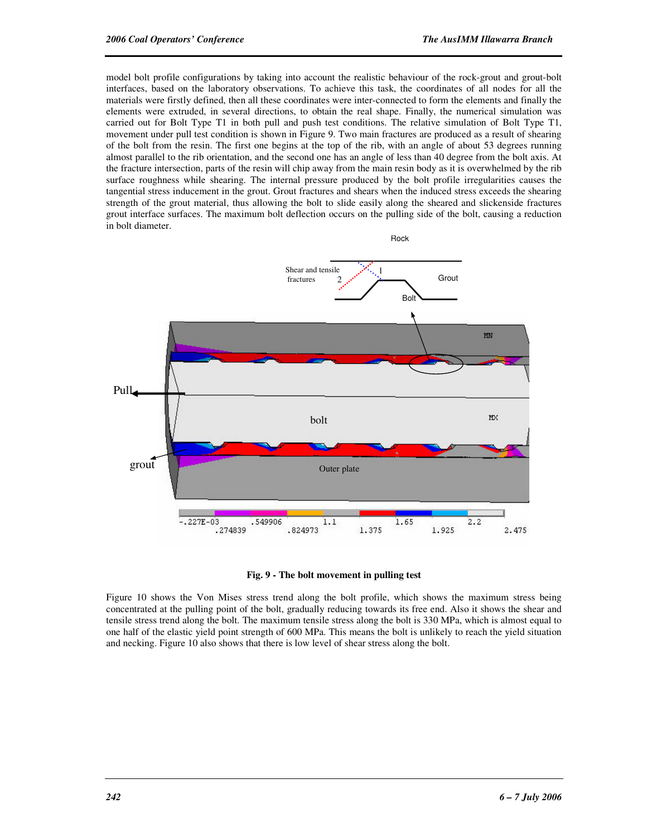model bolt profile configurations by taking into account the realistic behaviour of the rock-grout and grout-bolt interfaces, based on the laboratory observations. To achieve this task, the coordinates of all nodes for all the materials were firstly defined, then all these coordinates were inter-connected to form the elements and finally the elements were extruded, in several directions, to obtain the real shape. Finally, the numerical simulation was carried out for Bolt Type T1 in both pull and push test conditions. The relative simulation of Bolt Type T1, movement under pull test condition is shown in Figure 9. Two main fractures are produced as a result of shearing of the bolt from the resin. The first one begins at the top of the rib, with an angle of about 53 degrees running almost parallel to the rib orientation, and the second one has an angle of less than 40 degree from the bolt axis. At the fracture intersection, parts of the resin will chip away from the main resin body as it is overwhelmed by the rib surface roughness while shearing. The internal pressure produced by the bolt profile irregularities causes the tangential stress inducement in the grout. Grout fractures and shears when the induced stress exceeds the shearing strength of the grout material, thus allowing the bolt to slide easily along the sheared and slickenside fractures grout interface surfaces. The maximum bolt deflection occurs on the pulling side of the bolt, causing a reduction in bolt diameter.



#### **Fig. 9 - The bolt movement in pulling test**

Figure 10 shows the Von Mises stress trend along the bolt profile, which shows the maximum stress being concentrated at the pulling point of the bolt, gradually reducing towards its free end. Also it shows the shear and tensile stress trend along the bolt. The maximum tensile stress along the bolt is 330 MPa, which is almost equal to one half of the elastic yield point strength of 600 MPa. This means the bolt is unlikely to reach the yield situation and necking. Figure 10 also shows that there is low level of shear stress along the bolt.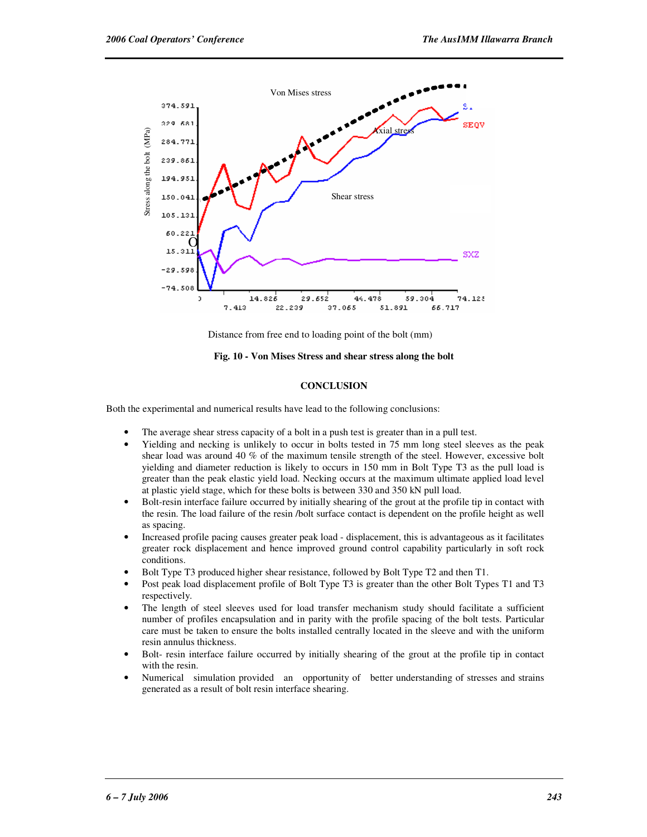

Distance from free end to loading point of the bolt (mm)

**Fig. 10 - Von Mises Stress and shear stress along the bolt** 

#### **CONCLUSION**

Both the experimental and numerical results have lead to the following conclusions:

- The average shear stress capacity of a bolt in a push test is greater than in a pull test.
- Yielding and necking is unlikely to occur in bolts tested in 75 mm long steel sleeves as the peak shear load was around 40 % of the maximum tensile strength of the steel. However, excessive bolt yielding and diameter reduction is likely to occurs in 150 mm in Bolt Type T3 as the pull load is greater than the peak elastic yield load. Necking occurs at the maximum ultimate applied load level at plastic yield stage, which for these bolts is between 330 and 350 kN pull load.
- Bolt-resin interface failure occurred by initially shearing of the grout at the profile tip in contact with the resin. The load failure of the resin /bolt surface contact is dependent on the profile height as well as spacing.
- Increased profile pacing causes greater peak load displacement, this is advantageous as it facilitates greater rock displacement and hence improved ground control capability particularly in soft rock conditions.
- Bolt Type T3 produced higher shear resistance, followed by Bolt Type T2 and then T1.
- Post peak load displacement profile of Bolt Type T3 is greater than the other Bolt Types T1 and T3 respectively.
- The length of steel sleeves used for load transfer mechanism study should facilitate a sufficient number of profiles encapsulation and in parity with the profile spacing of the bolt tests. Particular care must be taken to ensure the bolts installed centrally located in the sleeve and with the uniform resin annulus thickness.
- Bolt- resin interface failure occurred by initially shearing of the grout at the profile tip in contact with the resin.
- Numerical simulation provided an opportunity of better understanding of stresses and strains